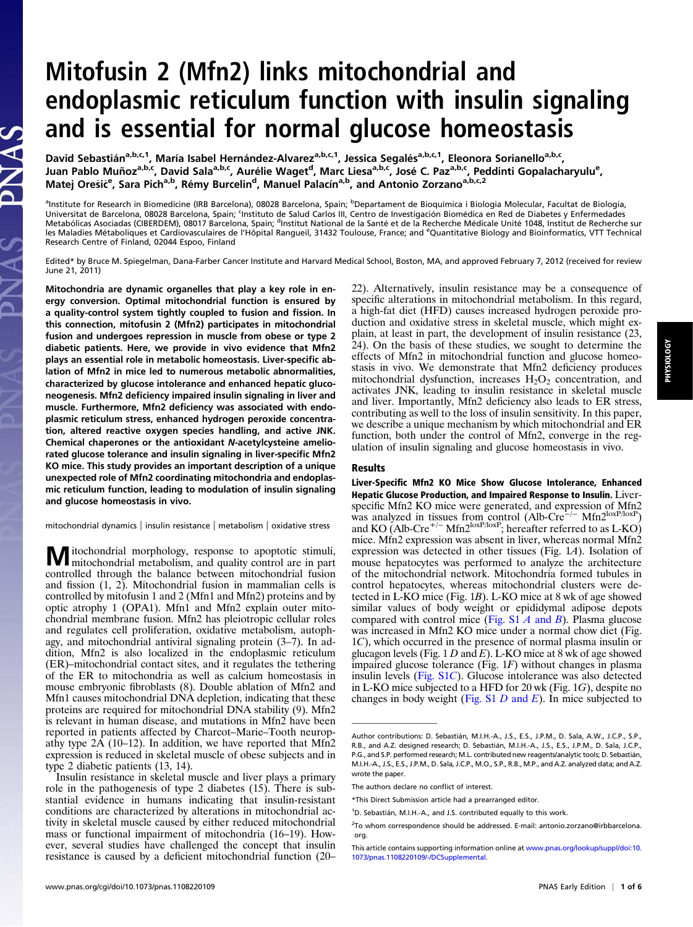## Mitofusin 2 (Mfn2) links mitochondrial and endoplasmic reticulum function with insulin signaling and is essential for normal glucose homeostasis

David Sebastián<sup>a,b,c,1</sup>, María Isabel Hernández-Alvarez<sup>a,b,c,1</sup>, Jessica Segalés<sup>a,b,c,1</sup>, Eleonora Sorianello<sup>a,b,c</sup>, Juan Pablo Muñoz<sup>a,b,c</sup>, David Sala<sup>a,b,c</sup>, Aurélie Waget<sup>d</sup>, Marc Liesa<sup>a,b,c</sup>, José C. Paz<sup>a,b,c</sup>, Peddinti Gopalacharyulu<sup>e</sup>, Matej Orešič<sup>e</sup>, Sara Pich<sup>a,b</sup>, Rémy Burcelin<sup>d</sup>, Manuel Palacín<sup>a,b</sup>, and Antonio Zorzano<sup>a,b,c,2</sup>

<sup>a</sup>lnstitute for Research in Biomedicine (IRB Barcelona), 08028 Barcelona, Spain; <sup>b</sup>Departament de Bioquímica i Biologia Molecular, Facultat de Biologia,<br>Universitat de Barcelona, 08028 Barcelona, Spain; <sup>c</sup>Instituto de S les Maladies Métaboliques et Cardiovasculaires de l'Hôpital Rangueil, 31432 Toulouse, France; and <sup>e</sup>Quantitative Biology and Bioinformatics, VTT Technical Research Centre of Finland, 02044 Espoo, Finland

Edited\* by Bruce M. Spiegelman, Dana-Farber Cancer Institute and Harvard Medical School, Boston, MA, and approved February 7, 2012 (received for review June 21, 2011)

Mitochondria are dynamic organelles that play a key role in energy conversion. Optimal mitochondrial function is ensured by a quality-control system tightly coupled to fusion and fission. In this connection, mitofusin 2 (Mfn2) participates in mitochondrial fusion and undergoes repression in muscle from obese or type 2 diabetic patients. Here, we provide in vivo evidence that Mfn2 plays an essential role in metabolic homeostasis. Liver-specific ablation of Mfn2 in mice led to numerous metabolic abnormalities, characterized by glucose intolerance and enhanced hepatic gluconeogenesis. Mfn2 deficiency impaired insulin signaling in liver and muscle. Furthermore, Mfn2 deficiency was associated with endoplasmic reticulum stress, enhanced hydrogen peroxide concentration, altered reactive oxygen species handling, and active JNK. Chemical chaperones or the antioxidant N-acetylcysteine ameliorated glucose tolerance and insulin signaling in liver-specific Mfn2 KO mice. This study provides an important description of a unique unexpected role of Mfn2 coordinating mitochondria and endoplasmic reticulum function, leading to modulation of insulin signaling and glucose homeostasis in vivo.

mitochondrial dynamics | insulin resistance | metabolism | oxidative stress

Mitochondrial morphology, response to apoptotic stimuli, mitochondrial metabolism, and quality control are in part controlled through the balance between mitochondrial fusion and fission (1, 2). Mitochondrial fusion in mammalian cells is controlled by mitofusin 1 and 2 (Mfn1 and Mfn2) proteins and by optic atrophy 1 (OPA1). Mfn1 and Mfn2 explain outer mitochondrial membrane fusion. Mfn2 has pleiotropic cellular roles and regulates cell proliferation, oxidative metabolism, autophagy, and mitochondrial antiviral signaling protein (3–7). In addition, Mfn2 is also localized in the endoplasmic reticulum (ER)–mitochondrial contact sites, and it regulates the tethering of the ER to mitochondria as well as calcium homeostasis in mouse embryonic fibroblasts (8). Double ablation of Mfn2 and Mfn1 causes mitochondrial DNA depletion, indicating that these proteins are required for mitochondrial DNA stability (9). Mfn2 is relevant in human disease, and mutations in Mfn2 have been reported in patients affected by Charcot–Marie–Tooth neuropathy type 2A (10–12). In addition, we have reported that Mfn2 expression is reduced in skeletal muscle of obese subjects and in type 2 diabetic patients (13, 14).

Insulin resistance in skeletal muscle and liver plays a primary role in the pathogenesis of type 2 diabetes (15). There is substantial evidence in humans indicating that insulin-resistant conditions are characterized by alterations in mitochondrial activity in skeletal muscle caused by either reduced mitochondrial mass or functional impairment of mitochondria (16–19). However, several studies have challenged the concept that insulin resistance is caused by a deficient mitochondrial function (20–

22). Alternatively, insulin resistance may be a consequence of specific alterations in mitochondrial metabolism. In this regard, a high-fat diet (HFD) causes increased hydrogen peroxide production and oxidative stress in skeletal muscle, which might explain, at least in part, the development of insulin resistance (23, 24). On the basis of these studies, we sought to determine the effects of Mfn2 in mitochondrial function and glucose homeostasis in vivo. We demonstrate that Mfn2 deficiency produces mitochondrial dysfunction, increases  $H_2O_2$  concentration, and activates JNK, leading to insulin resistance in skeletal muscle and liver. Importantly, Mfn2 deficiency also leads to ER stress, contributing as well to the loss of insulin sensitivity. In this paper, we describe a unique mechanism by which mitochondrial and ER function, both under the control of Mfn2, converge in the regulation of insulin signaling and glucose homeostasis in vivo.

## Results

Liver-Specific Mfn2 KO Mice Show Glucose Intolerance, Enhanced Hepatic Glucose Production, and Impaired Response to Insulin. Liverspecific Mfn2 KO mice were generated, and expression of Mfn2 was analyzed in tissues from control (Alb-Cre<sup>−/−</sup> Mfn2<sup>loxP/loxP</sup>) and KO (Alb-Cre<sup>+/−</sup> Mfn2<sup>loxP/loxP</sup>; hereafter referred to as L-KO) mice. Mfn2 expression was absent in liver, whereas normal Mfn2 expression was detected in other tissues (Fig. 1A). Isolation of mouse hepatocytes was performed to analyze the architecture of the mitochondrial network. Mitochondria formed tubules in control hepatocytes, whereas mitochondrial clusters were detected in L-KO mice (Fig. 1B). L-KO mice at 8 wk of age showed similar values of body weight or epididymal adipose depots compared with control mice [\(Fig. S1](http://www.pnas.org/lookup/suppl/doi:10.1073/pnas.1108220109/-/DCSupplemental/pnas.201108220SI.pdf?targetid=nameddest=SF1)  $A$  and  $B$ ). Plasma glucose was increased in Mfn2 KO mice under a normal chow diet (Fig. 1C), which occurred in the presence of normal plasma insulin or glucagon levels (Fig.  $1 D$  and E). L-KO mice at 8 wk of age showed impaired glucose tolerance (Fig. 1F) without changes in plasma insulin levels ([Fig. S1](http://www.pnas.org/lookup/suppl/doi:10.1073/pnas.1108220109/-/DCSupplemental/pnas.201108220SI.pdf?targetid=nameddest=SF1)C). Glucose intolerance was also detected in L-KO mice subjected to a HFD for 20 wk (Fig. 1G), despite no changes in body weight ([Fig. S1](http://www.pnas.org/lookup/suppl/doi:10.1073/pnas.1108220109/-/DCSupplemental/pnas.201108220SI.pdf?targetid=nameddest=SF1)  $D$  and  $E$ ). In mice subjected to

Author contributions: D. Sebastián, M.I.H.-A., J.S., E.S., J.P.M., D. Sala, A.W., J.C.P., S.P., R.B., and A.Z. designed research; D. Sebastián, M.I.H.-A., J.S., E.S., J.P.M., D. Sala, J.C.P., P.G., and S.P. performed research; M.L. contributed new reagents/analytic tools; D. Sebastián, M.I.H.-A., J.S., E.S., J.P.M., D. Sala, J.C.P., M.O., S.P., R.B., M.P., and A.Z. analyzed data; and A.Z. wrote the paper.

The authors declare no conflict of interest.

<sup>\*</sup>This Direct Submission article had a prearranged editor.

<sup>&</sup>lt;sup>1</sup>D. Sebastián, M.I.H.-A., and J.S. contributed equally to this work.

<sup>&</sup>lt;sup>2</sup>To whom correspondence should be addressed. E-mail: [antonio.zorzano@irbbarcelona.](mailto:antonio.zorzano@irbbarcelona.org) [org.](mailto:antonio.zorzano@irbbarcelona.org)

This article contains supporting information online at [www.pnas.org/lookup/suppl/doi:10.](http://www.pnas.org/lookup/suppl/doi:10.1073/pnas.1108220109/-/DCSupplemental) [1073/pnas.1108220109/-/DCSupplemental](http://www.pnas.org/lookup/suppl/doi:10.1073/pnas.1108220109/-/DCSupplemental).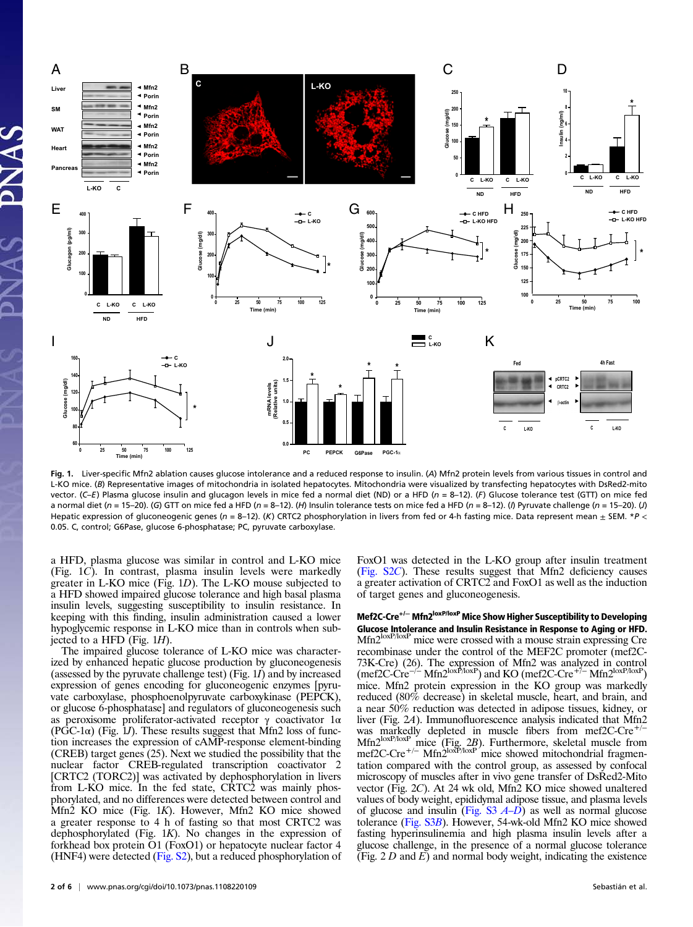

Fig. 1. Liver-specific Mfn2 ablation causes glucose intolerance and a reduced response to insulin. (A) Mfn2 protein levels from various tissues in control and L-KO mice. (B) Representative images of mitochondria in isolated hepatocytes. Mitochondria were visualized by transfecting hepatocytes with DsRed2-mito vector. (C–E) Plasma glucose insulin and glucagon levels in mice fed a normal diet (ND) or a HFD ( $n = 8-12$ ). (F) Glucose tolerance test (GTT) on mice fed a normal diet (n = 15-20). (G) GTT on mice fed a HFD (n = 8-12). (H) Insulin tolerance tests on mice fed a HFD (n = 8-12). (I) Pyruvate challenge (n = 15-20). (J) Hepatic expression of gluconeogenic genes (n = 8–12). (K) CRTC2 phosphorylation in livers from fed or 4-h fasting mice. Data represent mean  $\pm$  SEM. \*P < 0.05. C, control; G6Pase, glucose 6-phosphatase; PC, pyruvate carboxylase.

a HFD, plasma glucose was similar in control and L-KO mice (Fig. 1C). In contrast, plasma insulin levels were markedly greater in L-KO mice (Fig. 1D). The L-KO mouse subjected to a HFD showed impaired glucose tolerance and high basal plasma insulin levels, suggesting susceptibility to insulin resistance. In keeping with this finding, insulin administration caused a lower hypoglycemic response in L-KO mice than in controls when subjected to a HFD (Fig. 1H).

The impaired glucose tolerance of L-KO mice was characterized by enhanced hepatic glucose production by gluconeogenesis (assessed by the pyruvate challenge test) (Fig. 1I) and by increased expression of genes encoding for gluconeogenic enzymes [pyruvate carboxylase, phosphoenolpyruvate carboxykinase (PEPCK), or glucose 6-phosphatase] and regulators of gluconeogenesis such as peroxisome proliferator-activated receptor γ coactivator 1α  $(PGC-1\alpha)$  (Fig. 1*J*). These results suggest that Mfn2 loss of function increases the expression of cAMP-response element-binding (CREB) target genes (25). Next we studied the possibility that the nuclear factor CREB-regulated transcription coactivator 2 [CRTC2 (TORC2)] was activated by dephosphorylation in livers from L-KO mice. In the fed state, CRTC2 was mainly phosphorylated, and no differences were detected between control and Mfn2 KO mice (Fig. 1K). However, Mfn2 KO mice showed a greater response to 4 h of fasting so that most CRTC2 was dephosphorylated (Fig. 1K). No changes in the expression of forkhead box protein O1 (FoxO1) or hepatocyte nuclear factor 4 (HNF4) were detected [\(Fig. S2\)](http://www.pnas.org/lookup/suppl/doi:10.1073/pnas.1108220109/-/DCSupplemental/pnas.201108220SI.pdf?targetid=nameddest=SF2), but a reduced phosphorylation of

2 of 6 | <www.pnas.org/cgi/doi/10.1073/pnas.1108220109> Sebastián et al.

FoxO1 was detected in the L-KO group after insulin treatment ([Fig. S2](http://www.pnas.org/lookup/suppl/doi:10.1073/pnas.1108220109/-/DCSupplemental/pnas.201108220SI.pdf?targetid=nameddest=SF2)C). These results suggest that Mfn2 deficiency causes a greater activation of CRTC2 and FoxO1 as well as the induction of target genes and gluconeogenesis.

Mef2C-Cre<sup>+/−</sup> Mfn2<sup>loxP/loxP</sup> Mice Show Higher Susceptibility to Developing Glucose Intolerance and Insulin Resistance in Response to Aging or HFD. Mfn2<sup>loxP/loxP</sup> mice were crossed with a mouse strain expressing Cre recombinase under the control of the MEF2C promoter (mef2C-73K-Cre) (26). The expression of Mfn2 was analyzed in control (mef2C-Cre<sup>-/−</sup> Mfn2<sup>loxP</sup>) and KO (mef2C-Cre<sup>+/−</sup> Mfn2<sup>loxP</sup>) mice. Mfn2 protein expression in the KO group was markedly reduced (80% decrease) in skeletal muscle, heart, and brain, and a near 50% reduction was detected in adipose tissues, kidney, or liver (Fig. 2A). Immunofluorescence analysis indicated that Mfn2 was markedly depleted in muscle fibers from mef2C-Cre<sup>+/−</sup>  $Mfn2^{loxP/loxP}$  mice (Fig. 2B). Furthermore, skeletal muscle from mef2C-Cre<sup>+/−</sup> Mfn2<sup>loxP/loxP</sup> mice showed mitochondrial fragmentation compared with the control group, as assessed by confocal microscopy of muscles after in vivo gene transfer of DsRed2-Mito vector (Fig. 2C). At 24 wk old, Mfn2 KO mice showed unaltered values of body weight, epididymal adipose tissue, and plasma levels of glucose and insulin ([Fig. S3](http://www.pnas.org/lookup/suppl/doi:10.1073/pnas.1108220109/-/DCSupplemental/pnas.201108220SI.pdf?targetid=nameddest=SF3)  $A-D$ ) as well as normal glucose tolerance ([Fig. S3](http://www.pnas.org/lookup/suppl/doi:10.1073/pnas.1108220109/-/DCSupplemental/pnas.201108220SI.pdf?targetid=nameddest=SF3)B). However, 54-wk-old Mfn2 KO mice showed fasting hyperinsulinemia and high plasma insulin levels after a glucose challenge, in the presence of a normal glucose tolerance (Fig.  $2 D$  and  $E$ ) and normal body weight, indicating the existence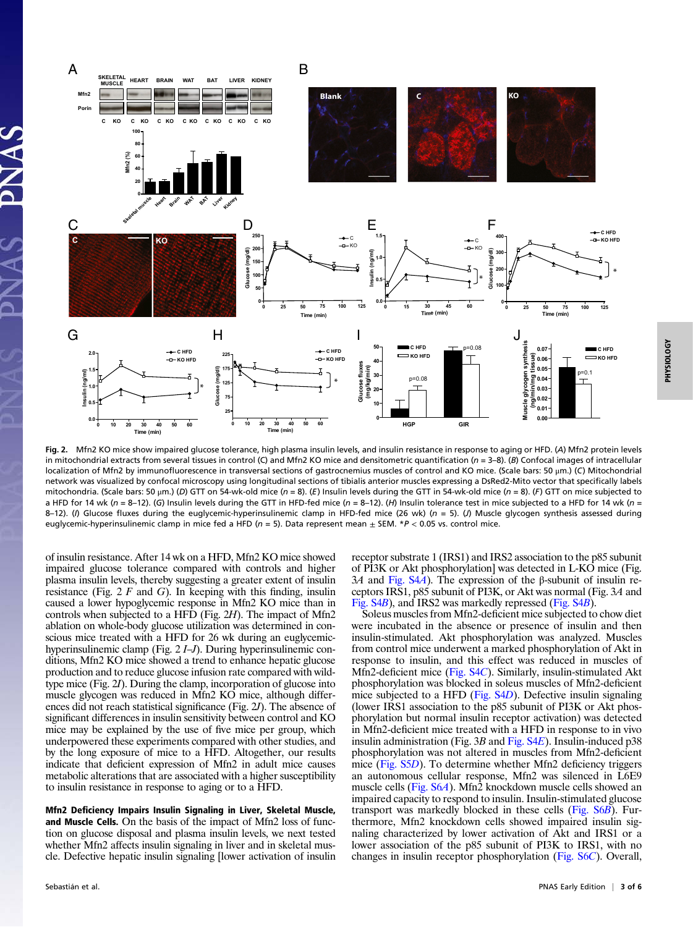

Fig. 2. Mfn2 KO mice show impaired glucose tolerance, high plasma insulin levels, and insulin resistance in response to aging or HFD. (A) Mfn2 protein levels in mitochondrial extracts from several tissues in control (C) and Mfn2 KO mice and densitometric quantification ( $n = 3-8$ ). (B) Confocal images of intracellular localization of Mfn2 by immunofluorescence in transversal sections of gastrocnemius muscles of control and KO mice. (Scale bars: 50 μm.) (C) Mitochondrial network was visualized by confocal microscopy using longitudinal sections of tibialis anterior muscles expressing a DsRed2-Mito vector that specifically labels mitochondria. (Scale bars: 50 µm.) (D) GTT on 54-wk-old mice (n = 8). (E) Insulin levels during the GTT in 54-wk-old mice (n = 8). (F) GTT on mice subjected to a HFD for 14 wk (n = 8-12). (G) Insulin levels during the GTT in HFD-fed mice (n = 8-12). (H) Insulin tolerance test in mice subjected to a HFD for 14 wk (n = 8-12). (I) Glucose fluxes during the euglycemic-hyperinsulinemic clamp in HFD-fed mice (26 wk) ( $n = 5$ ). (J) Muscle glycogen synthesis assessed during euglycemic-hyperinsulinemic clamp in mice fed a HFD ( $n = 5$ ). Data represent mean  $\pm$  SEM. \*P < 0.05 vs. control mice.

of insulin resistance. After 14 wk on a HFD, Mfn2 KO mice showed impaired glucose tolerance compared with controls and higher plasma insulin levels, thereby suggesting a greater extent of insulin resistance (Fig.  $2 F$  and G). In keeping with this finding, insulin caused a lower hypoglycemic response in Mfn2 KO mice than in controls when subjected to a HFD (Fig. 2H). The impact of Mfn2 ablation on whole-body glucose utilization was determined in conscious mice treated with a HFD for 26 wk during an euglycemichyperinsulinemic clamp (Fig. 2 *I–J*). During hyperinsulinemic conditions, Mfn2 KO mice showed a trend to enhance hepatic glucose production and to reduce glucose infusion rate compared with wildtype mice (Fig. 2I). During the clamp, incorporation of glucose into muscle glycogen was reduced in Mfn2 KO mice, although differences did not reach statistical significance (Fig. 2J). The absence of significant differences in insulin sensitivity between control and KO mice may be explained by the use of five mice per group, which underpowered these experiments compared with other studies, and by the long exposure of mice to a HFD. Altogether, our results indicate that deficient expression of Mfn2 in adult mice causes metabolic alterations that are associated with a higher susceptibility to insulin resistance in response to aging or to a HFD.

Mfn2 Deficiency Impairs Insulin Signaling in Liver, Skeletal Muscle, and Muscle Cells. On the basis of the impact of Mfn2 loss of function on glucose disposal and plasma insulin levels, we next tested whether Mfn2 affects insulin signaling in liver and in skeletal muscle. Defective hepatic insulin signaling [lower activation of insulin receptor substrate 1 (IRS1) and IRS2 association to the p85 subunit of PI3K or Akt phosphorylation] was detected in L-KO mice (Fig. 3A and [Fig. S4](http://www.pnas.org/lookup/suppl/doi:10.1073/pnas.1108220109/-/DCSupplemental/pnas.201108220SI.pdf?targetid=nameddest=SF4)A). The expression of the β-subunit of insulin receptors IRS1, p85 subunit of PI3K, or Akt was normal (Fig. 3A and [Fig. S4](http://www.pnas.org/lookup/suppl/doi:10.1073/pnas.1108220109/-/DCSupplemental/pnas.201108220SI.pdf?targetid=nameddest=SF4)B), and IRS2 was markedly repressed [\(Fig. S4](http://www.pnas.org/lookup/suppl/doi:10.1073/pnas.1108220109/-/DCSupplemental/pnas.201108220SI.pdf?targetid=nameddest=SF4)B).

Soleus muscles from Mfn2-deficient mice subjected to chow diet were incubated in the absence or presence of insulin and then insulin-stimulated. Akt phosphorylation was analyzed. Muscles from control mice underwent a marked phosphorylation of Akt in response to insulin, and this effect was reduced in muscles of Mfn2-deficient mice [\(Fig. S4](http://www.pnas.org/lookup/suppl/doi:10.1073/pnas.1108220109/-/DCSupplemental/pnas.201108220SI.pdf?targetid=nameddest=SF4)C). Similarly, insulin-stimulated Akt phosphorylation was blocked in soleus muscles of Mfn2-deficient mice subjected to a HFD [\(Fig. S4](http://www.pnas.org/lookup/suppl/doi:10.1073/pnas.1108220109/-/DCSupplemental/pnas.201108220SI.pdf?targetid=nameddest=SF4)D). Defective insulin signaling (lower IRS1 association to the p85 subunit of PI3K or Akt phosphorylation but normal insulin receptor activation) was detected in Mfn2-deficient mice treated with a HFD in response to in vivo insulin administration (Fig. 3B and Fig.  $S4E$ ). Insulin-induced p38 phosphorylation was not altered in muscles from Mfn2-deficient mice ([Fig. S5](http://www.pnas.org/lookup/suppl/doi:10.1073/pnas.1108220109/-/DCSupplemental/pnas.201108220SI.pdf?targetid=nameddest=SF5)D). To determine whether Mfn2 deficiency triggers an autonomous cellular response, Mfn2 was silenced in L6E9 muscle cells [\(Fig. S6](http://www.pnas.org/lookup/suppl/doi:10.1073/pnas.1108220109/-/DCSupplemental/pnas.201108220SI.pdf?targetid=nameddest=SF6)A). Mfn2 knockdown muscle cells showed an impaired capacity to respond to insulin. Insulin-stimulated glucose transport was markedly blocked in these cells ([Fig. S6](http://www.pnas.org/lookup/suppl/doi:10.1073/pnas.1108220109/-/DCSupplemental/pnas.201108220SI.pdf?targetid=nameddest=SF6)B). Furthermore, Mfn2 knockdown cells showed impaired insulin signaling characterized by lower activation of Akt and IRS1 or a lower association of the p85 subunit of PI3K to IRS1, with no changes in insulin receptor phosphorylation [\(Fig. S6](http://www.pnas.org/lookup/suppl/doi:10.1073/pnas.1108220109/-/DCSupplemental/pnas.201108220SI.pdf?targetid=nameddest=SF6)C). Overall,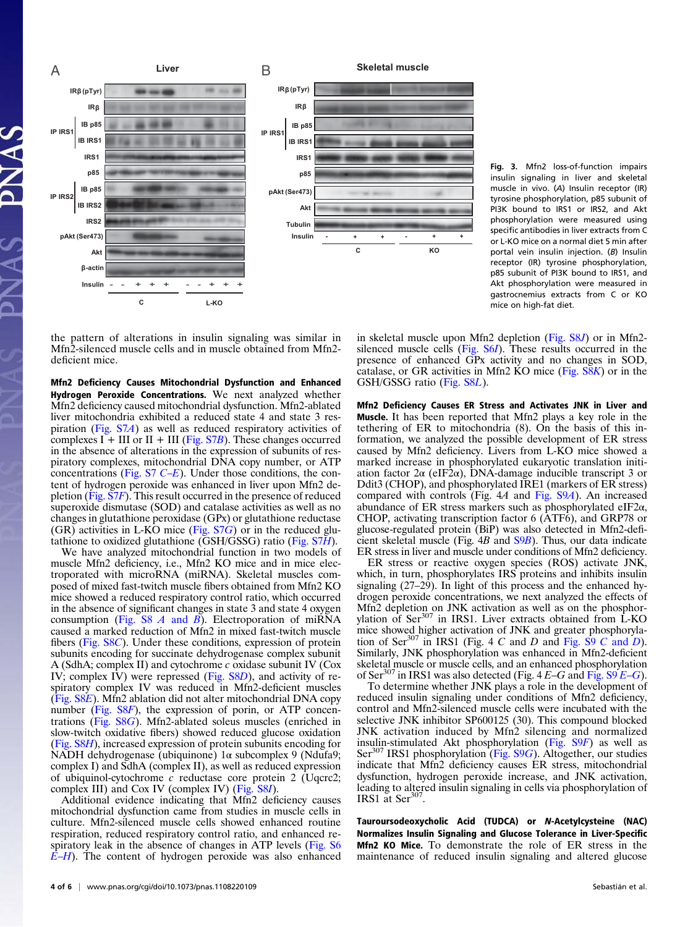

Fig. 3. Mfn2 loss-of-function impairs insulin signaling in liver and skeletal muscle in vivo. (A) Insulin receptor (IR) tyrosine phosphorylation, p85 subunit of PI3K bound to IRS1 or IRS2, and Akt phosphorylation were measured using specific antibodies in liver extracts from C or L-KO mice on a normal diet 5 min after portal vein insulin injection. (B) Insulin receptor (IR) tyrosine phosphorylation, p85 subunit of PI3K bound to IRS1, and Akt phosphorylation were measured in gastrocnemius extracts from C or KO mice on high-fat diet.

the pattern of alterations in insulin signaling was similar in Mfn2-silenced muscle cells and in muscle obtained from Mfn2 deficient mice.

Mfn2 Deficiency Causes Mitochondrial Dysfunction and Enhanced Hydrogen Peroxide Concentrations. We next analyzed whether Mfn2 deficiency caused mitochondrial dysfunction. Mfn2-ablated liver mitochondria exhibited a reduced state 4 and state 3 respiration [\(Fig. S7](http://www.pnas.org/lookup/suppl/doi:10.1073/pnas.1108220109/-/DCSupplemental/pnas.201108220SI.pdf?targetid=nameddest=SF7)A) as well as reduced respiratory activities of complexes  $I + III$  or  $II + III$  [\(Fig. S7](http://www.pnas.org/lookup/suppl/doi:10.1073/pnas.1108220109/-/DCSupplemental/pnas.201108220SI.pdf?targetid=nameddest=SF7)B). These changes occurred in the absence of alterations in the expression of subunits of respiratory complexes, mitochondrial DNA copy number, or ATP concentrations (Fig.  $S7$  C–E). Under those conditions, the content of hydrogen peroxide was enhanced in liver upon Mfn2 depletion ([Fig. S7](http://www.pnas.org/lookup/suppl/doi:10.1073/pnas.1108220109/-/DCSupplemental/pnas.201108220SI.pdf?targetid=nameddest=SF7)F). This result occurred in the presence of reduced superoxide dismutase (SOD) and catalase activities as well as no changes in glutathione peroxidase (GPx) or glutathione reductase  $(GR)$  activities in L-KO mice (Fig.  $S7G$ ) or in the reduced glutathione to oxidized glutathione ( $\overline{GSH}/\overline{GS}$ SG) ratio ( $\overline{Fig. S7H}$ ).

We have analyzed mitochondrial function in two models of muscle Mfn2 deficiency, i.e., Mfn2 KO mice and in mice electroporated with microRNA (miRNA). Skeletal muscles composed of mixed fast-twitch muscle fibers obtained from Mfn2 KO mice showed a reduced respiratory control ratio, which occurred in the absence of significant changes in state 3 and state 4 oxygen consumption [\(Fig. S8](http://www.pnas.org/lookup/suppl/doi:10.1073/pnas.1108220109/-/DCSupplemental/pnas.201108220SI.pdf?targetid=nameddest=SF8)  $\vec{A}$  and  $\vec{B}$ ). Electroporation of miRNA caused a marked reduction of Mfn2 in mixed fast-twitch muscle fibers ([Fig. S8](http://www.pnas.org/lookup/suppl/doi:10.1073/pnas.1108220109/-/DCSupplemental/pnas.201108220SI.pdf?targetid=nameddest=SF8)C). Under these conditions, expression of protein subunits encoding for succinate dehydrogenase complex subunit A (SdhA; complex II) and cytochrome c oxidase subunit IV (Cox IV; complex IV) were repressed [\(Fig. S8](http://www.pnas.org/lookup/suppl/doi:10.1073/pnas.1108220109/-/DCSupplemental/pnas.201108220SI.pdf?targetid=nameddest=SF8)D), and activity of respiratory complex IV was reduced in Mfn2-deficient muscles [\(Fig. S8](http://www.pnas.org/lookup/suppl/doi:10.1073/pnas.1108220109/-/DCSupplemental/pnas.201108220SI.pdf?targetid=nameddest=SF8)E). Mfn2 ablation did not alter mitochondrial DNA copy number [\(Fig. S8](http://www.pnas.org/lookup/suppl/doi:10.1073/pnas.1108220109/-/DCSupplemental/pnas.201108220SI.pdf?targetid=nameddest=SF8)F), the expression of porin, or ATP concentrations [\(Fig. S8](http://www.pnas.org/lookup/suppl/doi:10.1073/pnas.1108220109/-/DCSupplemental/pnas.201108220SI.pdf?targetid=nameddest=SF8)G). Mfn2-ablated soleus muscles (enriched in slow-twitch oxidative fibers) showed reduced glucose oxidation [\(Fig. S8](http://www.pnas.org/lookup/suppl/doi:10.1073/pnas.1108220109/-/DCSupplemental/pnas.201108220SI.pdf?targetid=nameddest=SF8)H), increased expression of protein subunits encoding for NADH dehydrogenase (ubiquinone) 1α subcomplex 9 (Ndufa9; complex I) and SdhA (complex II), as well as reduced expression of ubiquinol-cytochrome  $c$  reductase core protein 2 (Uqcrc2; complex III) and Cox IV (complex IV) ([Fig. S8](http://www.pnas.org/lookup/suppl/doi:10.1073/pnas.1108220109/-/DCSupplemental/pnas.201108220SI.pdf?targetid=nameddest=SF8)I).

Additional evidence indicating that Mfn2 deficiency causes mitochondrial dysfunction came from studies in muscle cells in culture. Mfn2-silenced muscle cells showed enhanced routine respiration, reduced respiratory control ratio, and enhanced re-spiratory leak in the absence of changes in ATP levels ([Fig. S6](http://www.pnas.org/lookup/suppl/doi:10.1073/pnas.1108220109/-/DCSupplemental/pnas.201108220SI.pdf?targetid=nameddest=SF6))  $E-H$  $E-H$ ). The content of hydrogen peroxide was also enhanced in skeletal muscle upon Mfn2 depletion [\(Fig. S8](http://www.pnas.org/lookup/suppl/doi:10.1073/pnas.1108220109/-/DCSupplemental/pnas.201108220SI.pdf?targetid=nameddest=SF8)J) or in Mfn2 silenced muscle cells ([Fig. S6](http://www.pnas.org/lookup/suppl/doi:10.1073/pnas.1108220109/-/DCSupplemental/pnas.201108220SI.pdf?targetid=nameddest=SF6)I). These results occurred in the presence of enhanced GPx activity and no changes in SOD, catalase, or GR activities in Mfn2 KO mice ([Fig. S8](http://www.pnas.org/lookup/suppl/doi:10.1073/pnas.1108220109/-/DCSupplemental/pnas.201108220SI.pdf?targetid=nameddest=SF8)K) or in the GSH/GSSG ratio [\(Fig. S8](http://www.pnas.org/lookup/suppl/doi:10.1073/pnas.1108220109/-/DCSupplemental/pnas.201108220SI.pdf?targetid=nameddest=SF8)L).

Mfn2 Deficiency Causes ER Stress and Activates JNK in Liver and Muscle. It has been reported that Mfn2 plays a key role in the tethering of ER to mitochondria (8). On the basis of this information, we analyzed the possible development of ER stress caused by Mfn2 deficiency. Livers from L-KO mice showed a marked increase in phosphorylated eukaryotic translation initiation factor 2α (eIF2α), DNA-damage inducible transcript 3 or Ddit3 (CHOP), and phosphorylated IRE1 (markers of ER stress) compared with controls (Fig. 4A and [Fig. S9](http://www.pnas.org/lookup/suppl/doi:10.1073/pnas.1108220109/-/DCSupplemental/pnas.201108220SI.pdf?targetid=nameddest=SF9)A). An increased abundance of ER stress markers such as phosphorylated eIF2α, CHOP, activating transcription factor 6 (ATF6), and GRP78 or glucose-regulated protein (BiP) was also detected in Mfn2-deficient skeletal muscle (Fig. 4B and [S9](http://www.pnas.org/lookup/suppl/doi:10.1073/pnas.1108220109/-/DCSupplemental/pnas.201108220SI.pdf?targetid=nameddest=SF9)B). Thus, our data indicate ER stress in liver and muscle under conditions of Mfn2 deficiency.

ER stress or reactive oxygen species (ROS) activate JNK, which, in turn, phosphorylates IRS proteins and inhibits insulin signaling (27–29). In light of this process and the enhanced hydrogen peroxide concentrations, we next analyzed the effects of Mfn2 depletion on JNK activation as well as on the phosphorvlation of Ser<sup>307</sup> in IRS1. Liver extracts obtained from L-KO mice showed higher activation of JNK and greater phosphorylation of Ser<sup>307</sup> in IRS1 (Fig. 4 C and D and Fig.  $\overline{S9}$  C and D). Similarly, JNK phosphorylation was enhanced in Mfn2-deficient skeletal muscle or muscle cells, and an enhanced phosphorylation of Ser<sup>307</sup> in IRS1 was also detected (Fig.  $4E-G$  and [Fig. S9](http://www.pnas.org/lookup/suppl/doi:10.1073/pnas.1108220109/-/DCSupplemental/pnas.201108220SI.pdf?targetid=nameddest=SF9)  $E-G$ ).

To determine whether JNK plays a role in the development of reduced insulin signaling under conditions of Mfn2 deficiency, control and Mfn2-silenced muscle cells were incubated with the selective JNK inhibitor SP600125 (30). This compound blocked JNK activation induced by Mfn2 silencing and normalized insulin-stimulated Akt phosphorylation [\(Fig. S9](http://www.pnas.org/lookup/suppl/doi:10.1073/pnas.1108220109/-/DCSupplemental/pnas.201108220SI.pdf?targetid=nameddest=SF9)F) as well as Ser<sup>307</sup> IRS1 phosphorylation ([Fig. S9](http://www.pnas.org/lookup/suppl/doi:10.1073/pnas.1108220109/-/DCSupplemental/pnas.201108220SI.pdf?targetid=nameddest=SF9)G). Altogether, our studies indicate that Mfn2 deficiency causes ER stress, mitochondrial dysfunction, hydrogen peroxide increase, and JNK activation, leading to altered insulin signaling in cells via phosphorylation of IRS1 at  $\text{Ser}^3$ 

Tauroursodeoxycholic Acid (TUDCA) or N-Acetylcysteine (NAC) Normalizes Insulin Signaling and Glucose Tolerance in Liver-Specific Mfn2 KO Mice. To demonstrate the role of ER stress in the maintenance of reduced insulin signaling and altered glucose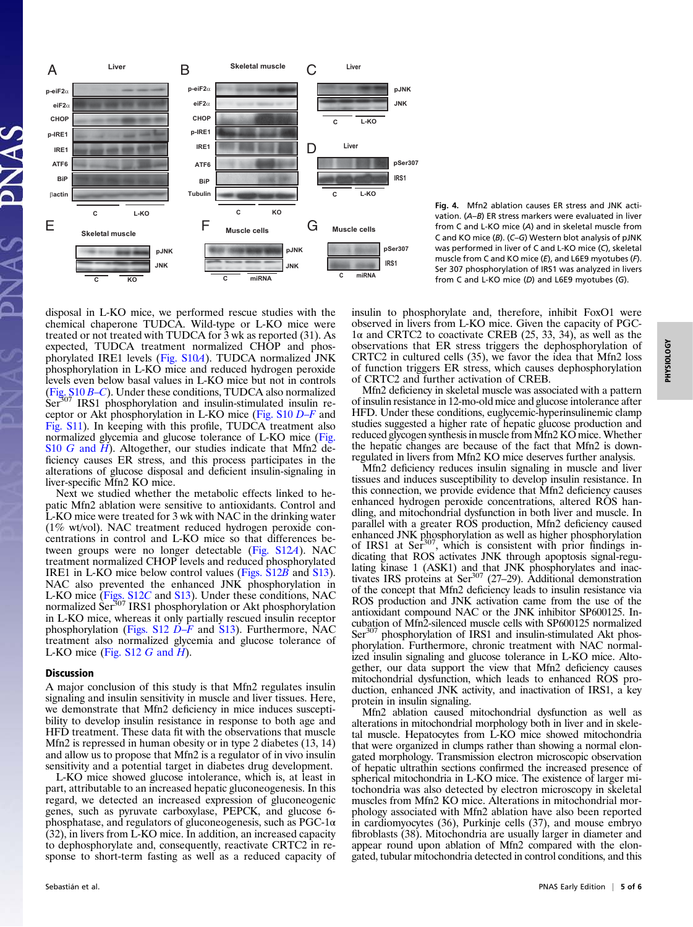

Fig. 4. Mfn2 ablation causes ER stress and JNK activation. (A–B) ER stress markers were evaluated in liver from C and L-KO mice (A) and in skeletal muscle from C and KO mice (B). (C–G) Western blot analysis of pJNK was performed in liver of C and L-KO mice (C), skeletal muscle from C and KO mice (E), and L6E9 myotubes (F). Ser 307 phosphorylation of IRS1 was analyzed in livers from C and L-KO mice (D) and L6E9 myotubes (G).

disposal in L-KO mice, we performed rescue studies with the chemical chaperone TUDCA. Wild-type or L-KO mice were treated or not treated with TUDCA for 3 wk as reported (31). As expected, TUDCA treatment normalized CHOP and phosphorylated IRE1 levels [\(Fig. S10](http://www.pnas.org/lookup/suppl/doi:10.1073/pnas.1108220109/-/DCSupplemental/pnas.201108220SI.pdf?targetid=nameddest=SF10)A). TUDCA normalized JNK phosphorylation in L-KO mice and reduced hydrogen peroxide levels even below basal values in L-KO mice but not in controls (Fig.  $S10 B-C$ ). Under these conditions, TUDCA also normalized Ser<sup>307</sup> IRS1 phosphorylation and insulin-stimulated insulin receptor or Akt phosphorylation in L-KO mice [\(Fig. S10](http://www.pnas.org/lookup/suppl/doi:10.1073/pnas.1108220109/-/DCSupplemental/pnas.201108220SI.pdf?targetid=nameddest=SF10) D–F and [Fig. S11\)](http://www.pnas.org/lookup/suppl/doi:10.1073/pnas.1108220109/-/DCSupplemental/pnas.201108220SI.pdf?targetid=nameddest=SF11). In keeping with this profile, TUDCA treatment also normalized glycemia and glucose tolerance of L-KO mice [\(Fig.](http://www.pnas.org/lookup/suppl/doi:10.1073/pnas.1108220109/-/DCSupplemental/pnas.201108220SI.pdf?targetid=nameddest=SF10) S10 G [and](http://www.pnas.org/lookup/suppl/doi:10.1073/pnas.1108220109/-/DCSupplemental/pnas.201108220SI.pdf?targetid=nameddest=SF10)  $\overline{H}$ ). Altogether, our studies indicate that Mfn2 deficiency causes ER stress, and this process participates in the alterations of glucose disposal and deficient insulin-signaling in liver-specific Mfn2 KO mice.

Next we studied whether the metabolic effects linked to hepatic Mfn2 ablation were sensitive to antioxidants. Control and L-KO mice were treated for 3 wk with NAC in the drinking water (1% wt/vol). NAC treatment reduced hydrogen peroxide concentrations in control and L-KO mice so that differences between groups were no longer detectable ([Fig. S12](http://www.pnas.org/lookup/suppl/doi:10.1073/pnas.1108220109/-/DCSupplemental/pnas.201108220SI.pdf?targetid=nameddest=SF12)A). NAC treatment normalized CHOP levels and reduced phosphorylated IRE1 in L-KO mice below control values ([Figs. S12](http://www.pnas.org/lookup/suppl/doi:10.1073/pnas.1108220109/-/DCSupplemental/pnas.201108220SI.pdf?targetid=nameddest=SF12)B and [S13\)](http://www.pnas.org/lookup/suppl/doi:10.1073/pnas.1108220109/-/DCSupplemental/pnas.201108220SI.pdf?targetid=nameddest=SF13). NAC also prevented the enhanced JNK phosphorylation in L-KO mice [\(Figs. S12](http://www.pnas.org/lookup/suppl/doi:10.1073/pnas.1108220109/-/DCSupplemental/pnas.201108220SI.pdf?targetid=nameddest=SF12)C and [S13](http://www.pnas.org/lookup/suppl/doi:10.1073/pnas.1108220109/-/DCSupplemental/pnas.201108220SI.pdf?targetid=nameddest=SF13)). Under these conditions, NAC<br>normalized Ser<sup>307</sup> IRS1 phosphorylation or Akt phosphorylation in L-KO mice, whereas it only partially rescued insulin receptor phosphorylation (Figs.  $S12 \overline{D}-F$  and  $S13$ ). Furthermore, NAC treatment also normalized glycemia and glucose tolerance of L-KO mice (Fig.  $S12$  G and  $H$ ).

## **Discussion**

A major conclusion of this study is that Mfn2 regulates insulin signaling and insulin sensitivity in muscle and liver tissues. Here, we demonstrate that Mfn2 deficiency in mice induces susceptibility to develop insulin resistance in response to both age and HFD treatment. These data fit with the observations that muscle Mfn2 is repressed in human obesity or in type 2 diabetes (13, 14) and allow us to propose that Mfn2 is a regulator of in vivo insulin sensitivity and a potential target in diabetes drug development.

L-KO mice showed glucose intolerance, which is, at least in part, attributable to an increased hepatic gluconeogenesis. In this regard, we detected an increased expression of gluconeogenic genes, such as pyruvate carboxylase, PEPCK, and glucose 6 phosphatase, and regulators of gluconeogenesis, such as  $PGC-1\alpha$ (32), in livers from L-KO mice. In addition, an increased capacity to dephosphorylate and, consequently, reactivate CRTC2 in response to short-term fasting as well as a reduced capacity of insulin to phosphorylate and, therefore, inhibit FoxO1 were observed in livers from L-KO mice. Given the capacity of PGC-1α and CRTC2 to coactivate CREB (25, 33, 34), as well as the observations that ER stress triggers the dephosphorylation of CRTC2 in cultured cells (35), we favor the idea that Mfn2 loss of function triggers ER stress, which causes dephosphorylation of CRTC2 and further activation of CREB.

Mfn2 deficiency in skeletal muscle was associated with a pattern of insulin resistance in 12-mo-old mice and glucose intolerance after HFD. Under these conditions, euglycemic-hyperinsulinemic clamp studies suggested a higher rate of hepatic glucose production and reduced glycogen synthesis in muscle from Mfn2 KO mice. Whether the hepatic changes are because of the fact that Mfn2 is downregulated in livers from Mfn2 KO mice deserves further analysis.

Mfn2 deficiency reduces insulin signaling in muscle and liver tissues and induces susceptibility to develop insulin resistance. In this connection, we provide evidence that Mfn2 deficiency causes enhanced hydrogen peroxide concentrations, altered ROS handling, and mitochondrial dysfunction in both liver and muscle. In parallel with a greater ROS production, Mfn2 deficiency caused enhanced JNK phosphorylation as well as higher phosphorylation of IRS1 at Ser<sup>307</sup>, which is consistent with prior findings in- $\alpha$ , which is consistent with prior findings indicating that ROS activates JNK through apoptosis signal-regulating kinase 1 (ASK1) and that JNK phosphorylates and inactivates IRS proteins at Ser<sup>307</sup> (27–29). Additional demonstration of the concept that Mfn2 deficiency leads to insulin resistance via ROS production and JNK activation came from the use of the antioxidant compound NAC or the JNK inhibitor SP600125. Incubation of Mfn2-silenced muscle cells with SP600125 normalized Ser<sup>307</sup> phosphorylation of IRS1 and insulin-stimulated Akt phosphorylation. Furthermore, chronic treatment with NAC normalized insulin signaling and glucose tolerance in L-KO mice. Altogether, our data support the view that Mfn2 deficiency causes mitochondrial dysfunction, which leads to enhanced ROS production, enhanced JNK activity, and inactivation of IRS1, a key protein in insulin signaling.

Mfn2 ablation caused mitochondrial dysfunction as well as alterations in mitochondrial morphology both in liver and in skeletal muscle. Hepatocytes from L-KO mice showed mitochondria that were organized in clumps rather than showing a normal elongated morphology. Transmission electron microscopic observation of hepatic ultrathin sections confirmed the increased presence of spherical mitochondria in L-KO mice. The existence of larger mitochondria was also detected by electron microscopy in skeletal muscles from Mfn2 KO mice. Alterations in mitochondrial morphology associated with Mfn2 ablation have also been reported in cardiomyocytes (36), Purkinje cells (37), and mouse embryo fibroblasts (38). Mitochondria are usually larger in diameter and appear round upon ablation of Mfn2 compared with the elongated, tubular mitochondria detected in control conditions, and this